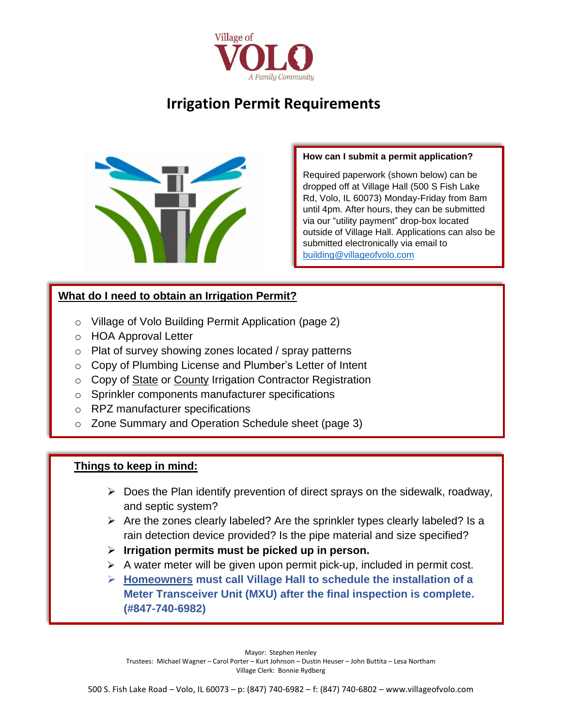

# **Irrigation Permit Requirements**



#### **How can I submit a permit application?**

Required paperwork (shown below) can be dropped off at Village Hall (500 S Fish Lake Rd, Volo, IL 60073) Monday-Friday from 8am until 4pm. After hours, they can be submitted via our "utility payment" drop-box located outside of Village Hall. Applications can also be submitted electronically via email to [building@villageofvolo.com](mailto:building@villageofvolo.com) 

## **What do I need to obtain an Irrigation Permit?**

- o Village of Volo Building Permit Application (page 2)
- o HOA Approval Letter
- o Plat of survey showing zones located / spray patterns
- o Copy of Plumbing License and Plumber's Letter of Intent
- o Copy of State or County Irrigation Contractor Registration
- o Sprinkler components manufacturer specifications
- o RPZ manufacturer specifications
- o Zone Summary and Operation Schedule sheet (page 3)

### **Things to keep in mind:**

- $\triangleright$  Does the Plan identify prevention of direct sprays on the sidewalk, roadway, and septic system?
- ➢ Are the zones clearly labeled? Are the sprinkler types clearly labeled? Is a rain detection device provided? Is the pipe material and size specified?
- ➢ **Irrigation permits must be picked up in person.**
- ➢ A water meter will be given upon permit pick-up, included in permit cost.
- ➢ **Homeowners must call Village Hall to schedule the installation of a Meter Transceiver Unit (MXU) after the final inspection is complete. (#847-740-6982)**

Mayor: Stephen Henley Trustees: Michael Wagner – Carol Porter – Kurt Johnson – Dustin Heuser – John Buttita – Lesa Northam Village Clerk: Bonnie Rydberg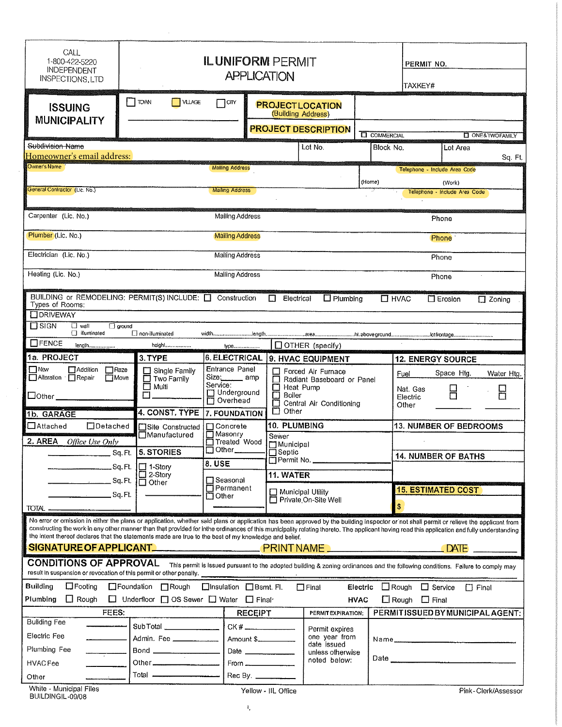| CALL<br>1-800-422-5220<br><b>INDEPENDENT</b><br><b>INSPECTIONS, LTD</b>                                                                                                                                                                                                                                                                                                                                                                                                                                                            | <b>ILUNIFORM PERMIT</b><br><b>APPLICATION</b>               |                                                                                   |                     |                                                                                 |                                                                                                                                | TAXKEY#           | PERMIT NO.                            |                               |                             |
|------------------------------------------------------------------------------------------------------------------------------------------------------------------------------------------------------------------------------------------------------------------------------------------------------------------------------------------------------------------------------------------------------------------------------------------------------------------------------------------------------------------------------------|-------------------------------------------------------------|-----------------------------------------------------------------------------------|---------------------|---------------------------------------------------------------------------------|--------------------------------------------------------------------------------------------------------------------------------|-------------------|---------------------------------------|-------------------------------|-----------------------------|
| <b>ISSUING</b><br><b>MUNICIPALITY</b>                                                                                                                                                                                                                                                                                                                                                                                                                                                                                              | $\top$ TOMN<br><b>NLAGE</b>                                 | $7$ cm                                                                            |                     | (Building Address)                                                              | <b>PROJECTLOCATION</b><br><b>PROJECT DESCRIPTION</b>                                                                           |                   |                                       |                               |                             |
|                                                                                                                                                                                                                                                                                                                                                                                                                                                                                                                                    |                                                             |                                                                                   |                     |                                                                                 |                                                                                                                                | <b>COMMERCIAL</b> |                                       |                               | <b>CI ONE&amp;TWOFAMILY</b> |
| Subdivision Name<br>Homeowner's email address:                                                                                                                                                                                                                                                                                                                                                                                                                                                                                     |                                                             |                                                                                   |                     |                                                                                 | Lot No.                                                                                                                        | Block No.         |                                       | Lot Area                      |                             |
| Owner's Name                                                                                                                                                                                                                                                                                                                                                                                                                                                                                                                       |                                                             | <b>Mailing Address</b>                                                            |                     |                                                                                 |                                                                                                                                |                   |                                       | Telephone - Include Area Code | Sq. Ft.                     |
|                                                                                                                                                                                                                                                                                                                                                                                                                                                                                                                                    |                                                             |                                                                                   |                     |                                                                                 |                                                                                                                                | (Home)            |                                       | (Work)                        |                             |
| General Contractor (Ltc. No.)                                                                                                                                                                                                                                                                                                                                                                                                                                                                                                      |                                                             | <b>Mailing Address</b>                                                            |                     |                                                                                 |                                                                                                                                |                   |                                       | Telephone - Include Area Code |                             |
| Carpenter (Lic. No.)                                                                                                                                                                                                                                                                                                                                                                                                                                                                                                               |                                                             | Mailing Address                                                                   |                     |                                                                                 |                                                                                                                                |                   |                                       | Phone                         |                             |
| Plumber (Lic. No.)                                                                                                                                                                                                                                                                                                                                                                                                                                                                                                                 |                                                             | <b>Mailing Address</b>                                                            |                     |                                                                                 |                                                                                                                                |                   |                                       | Phone                         |                             |
| Electrician (Lic. No.)                                                                                                                                                                                                                                                                                                                                                                                                                                                                                                             | Mailing Address<br>Phone                                    |                                                                                   |                     |                                                                                 |                                                                                                                                |                   |                                       |                               |                             |
| Heating (Lic. No.)                                                                                                                                                                                                                                                                                                                                                                                                                                                                                                                 |                                                             | <b>Mailing Address</b>                                                            |                     |                                                                                 |                                                                                                                                |                   |                                       | Phone                         |                             |
| BUILDING or REMODELING: PERMIT(S) INCLUDE: □ Construction<br>Types of Rooms:<br><b>CORIVEWAY</b>                                                                                                                                                                                                                                                                                                                                                                                                                                   |                                                             |                                                                                   | $\Box$              | Electrical                                                                      | $\Box$ Plumbing                                                                                                                |                   | $\square$ HVAC                        | $\Box$ Erosion                | $\Box$ Zoning               |
| $\Box$ SIGN<br>$\Box$ wall<br>$\Box$ ground<br>□ illuminated                                                                                                                                                                                                                                                                                                                                                                                                                                                                       | non-illuminated                                             |                                                                                   |                     |                                                                                 |                                                                                                                                |                   |                                       |                               |                             |
| $\Box$ FENCE<br>length                                                                                                                                                                                                                                                                                                                                                                                                                                                                                                             | height                                                      | <b>type</b>                                                                       |                     |                                                                                 | $\Box$ OTHER (specify)                                                                                                         |                   |                                       |                               |                             |
| 1a. PROJECT                                                                                                                                                                                                                                                                                                                                                                                                                                                                                                                        | 3. TYPE                                                     | <b>6. ELECTRICAL</b>                                                              |                     |                                                                                 | 9. HVAC EQUIPMENT                                                                                                              |                   | <b>12. ENERGY SOURCE</b>              |                               |                             |
| $\Box$ New<br><b>MAddition</b><br>$\Box$ Raze<br>Alteration Repair<br><b>Nove</b><br>$\Box$ Other                                                                                                                                                                                                                                                                                                                                                                                                                                  | $\Box$ Single Family<br>$\Box$ Two Family<br>□ Multi<br>П   | Entrance Panel<br>Size: <sub>200</sub> amp<br>Service:<br>Underground<br>Overhead |                     | Heat Pump<br>$\Box$ Boiler<br>⊡<br>$\Box$ Other                                 | Forced Air Furnace<br>Radiant Baseboard or Panel<br>Central Air Conditioning                                                   |                   | Fuel<br>Nat. Gas<br>Electric<br>Other | Space Htg.                    | Water Htg.<br>Н             |
| 1b. GARAGE                                                                                                                                                                                                                                                                                                                                                                                                                                                                                                                         | 4. CONST. TYPE                                              | 7. FOUNDATION                                                                     |                     |                                                                                 |                                                                                                                                |                   |                                       |                               |                             |
| $\Box$ Detached<br>$\Box$ Attached<br>2. AREA<br>Office Use Only                                                                                                                                                                                                                                                                                                                                                                                                                                                                   | Site Constructed<br>⊟Manufactured                           | <b>MConcrete</b><br>$\square$ Masonry<br>□ Treated Wood                           |                     | 10. PLUMBING<br>Sewer<br>Municipal<br>⊟ Septic<br>$\Box$ Permit No. ___________ |                                                                                                                                |                   | <b>13. NUMBER OF BEDROOMS</b>         |                               |                             |
| $Sq.Ft.$ 5. STORIES                                                                                                                                                                                                                                                                                                                                                                                                                                                                                                                |                                                             | $\Box$ Other $\Box$                                                               |                     |                                                                                 |                                                                                                                                |                   | <b>14. NUMBER OF BATHS</b>            |                               |                             |
|                                                                                                                                                                                                                                                                                                                                                                                                                                                                                                                                    | I□ 1-Story                                                  | 8. USE                                                                            |                     |                                                                                 |                                                                                                                                |                   |                                       |                               |                             |
| Sq. Ft                                                                                                                                                                                                                                                                                                                                                                                                                                                                                                                             | □ 2-Story<br>□ Other                                        | <b>□ Seasonal</b>                                                                 |                     | 11. WATER                                                                       |                                                                                                                                |                   |                                       |                               |                             |
| Sq.Ft.                                                                                                                                                                                                                                                                                                                                                                                                                                                                                                                             |                                                             | $\Box$ Permanent<br>$\square$ Other                                               |                     |                                                                                 | Municipal Utility<br>Private On-Site Well                                                                                      |                   | <b>15. ESTIMATED COST</b>             |                               |                             |
| TOTAL _<br><u> 1980 - Januar A</u>                                                                                                                                                                                                                                                                                                                                                                                                                                                                                                 |                                                             |                                                                                   |                     |                                                                                 |                                                                                                                                |                   | \$                                    |                               |                             |
| No error or omission in either the plans or application, whether said plans or application has been approved by the building inspector or not shall permit or relieve the applicant from<br>constructing the work in any other manner than that provided for inthe ordinances of this municipality relating thereto. The applicant having read this application and fully understanding<br>the intent thereof declares that the statements made are true to the best of my knowledge and belief.<br><b>SIGNATURE OF APPLICANT_</b> |                                                             |                                                                                   |                     |                                                                                 |                                                                                                                                |                   |                                       |                               |                             |
| <b>CONDITIONS OF APPROVAL</b><br>result in suspension or revocation of this permit or other penally.                                                                                                                                                                                                                                                                                                                                                                                                                               |                                                             |                                                                                   |                     |                                                                                 | This permit is issued pursuant to the adopted building & zoning ordinances and the following conditions. Failure to comply may |                   |                                       |                               |                             |
| <b>Building</b><br>$\Box$ Footing                                                                                                                                                                                                                                                                                                                                                                                                                                                                                                  | □Foundation □Rough                                          | □Insulation □Bsmt. Fl.                                                            |                     |                                                                                 | $\Box$ Final                                                                                                                   |                   | Electric $\Box$ Rough $\Box$ Service  | $\Box$ Final                  |                             |
| $\Box$ Rough<br>Plumbing                                                                                                                                                                                                                                                                                                                                                                                                                                                                                                           | $\Box$ Underfloor $\Box$ OS Sewer $\Box$ Water $\Box$ Final |                                                                                   |                     |                                                                                 |                                                                                                                                | <b>HVAC</b>       | $\Box$ Rough $\Box$ Final             |                               |                             |
| FEES:                                                                                                                                                                                                                                                                                                                                                                                                                                                                                                                              |                                                             |                                                                                   | <b>RECEIPT</b>      |                                                                                 | PERMITEXPIRATION;                                                                                                              |                   | PERMITISSUED BY MUNICIPAL AGENT:      |                               |                             |
| <b>Bullding Fee</b>                                                                                                                                                                                                                                                                                                                                                                                                                                                                                                                | Sub Total                                                   |                                                                                   |                     |                                                                                 |                                                                                                                                |                   |                                       |                               |                             |
| Electric Fee                                                                                                                                                                                                                                                                                                                                                                                                                                                                                                                       | Admin. Fee ____________                                     |                                                                                   |                     |                                                                                 | Permit expires<br>one year from                                                                                                |                   |                                       |                               |                             |
| Plumbing Fee                                                                                                                                                                                                                                                                                                                                                                                                                                                                                                                       |                                                             |                                                                                   | Date ____________   |                                                                                 | date issued<br>unless otherwise                                                                                                |                   |                                       |                               |                             |
| HVAC Fee                                                                                                                                                                                                                                                                                                                                                                                                                                                                                                                           |                                                             |                                                                                   |                     | noted below:                                                                    |                                                                                                                                |                   |                                       |                               |                             |
| Other                                                                                                                                                                                                                                                                                                                                                                                                                                                                                                                              | Total <u>________________</u>                               |                                                                                   | Rec By. _________   |                                                                                 |                                                                                                                                |                   |                                       |                               |                             |
| White - Municipal Files<br>BUILDINGIL-09/08                                                                                                                                                                                                                                                                                                                                                                                                                                                                                        |                                                             |                                                                                   | Yellow - IIL Office |                                                                                 |                                                                                                                                |                   |                                       |                               | Pink-Clerk/Assessor         |

 $\sim 10$